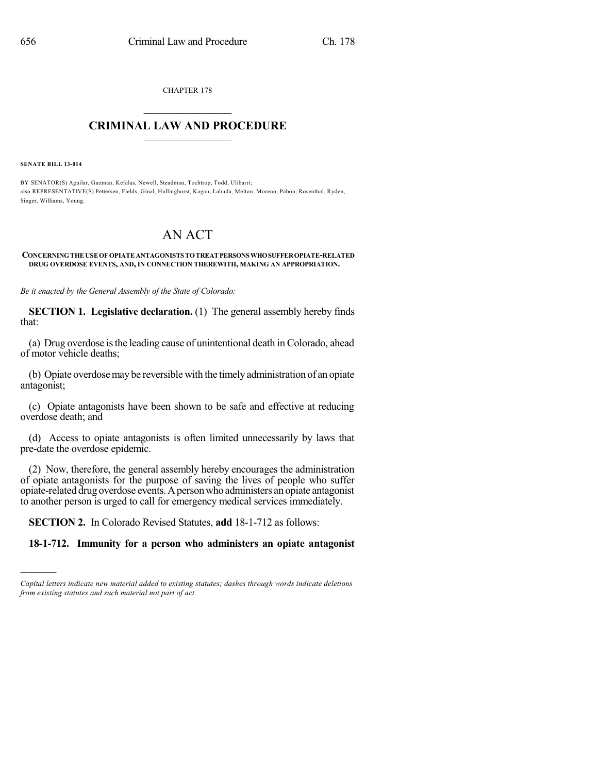CHAPTER 178  $\mathcal{L}_\text{max}$  . The set of the set of the set of the set of the set of the set of the set of the set of the set of the set of the set of the set of the set of the set of the set of the set of the set of the set of the set

## **CRIMINAL LAW AND PROCEDURE**  $\_$

**SENATE BILL 13-014**

)))))

BY SENATOR(S) Aguilar, Guzman, Kefalas, Newell, Steadman, Tochtrop, Todd, Ulibarri; also REPRESENTATIVE(S) Pettersen, Fields, Ginal, Hullinghorst, Kagan, Labuda, Melton, Moreno, Pabon, Rosenthal, Ryden, Singer, Williams, Young.

## AN ACT

## **CONCERNINGTHE USEOF OPIATEANTAGONISTS TOTREAT PERSONSWHOSUFFEROPIATE-RELATED DRUG OVERDOSE EVENTS, AND, IN CONNECTION THEREWITH, MAKING AN APPROPRIATION.**

*Be it enacted by the General Assembly of the State of Colorado:*

**SECTION 1. Legislative declaration.** (1) The general assembly hereby finds that:

(a) Drug overdose isthe leading cause of unintentional death in Colorado, ahead of motor vehicle deaths;

(b) Opiate overdosemay be reversible with the timely administration of an opiate antagonist;

(c) Opiate antagonists have been shown to be safe and effective at reducing overdose death; and

(d) Access to opiate antagonists is often limited unnecessarily by laws that pre-date the overdose epidemic.

(2) Now, therefore, the general assembly hereby encourages the administration of opiate antagonists for the purpose of saving the lives of people who suffer opiate-related drug overdose events.Apersonwho administers an opiate antagonist to another person is urged to call for emergency medical services immediately.

**SECTION 2.** In Colorado Revised Statutes, **add** 18-1-712 as follows:

## **18-1-712. Immunity for a person who administers an opiate antagonist**

*Capital letters indicate new material added to existing statutes; dashes through words indicate deletions from existing statutes and such material not part of act.*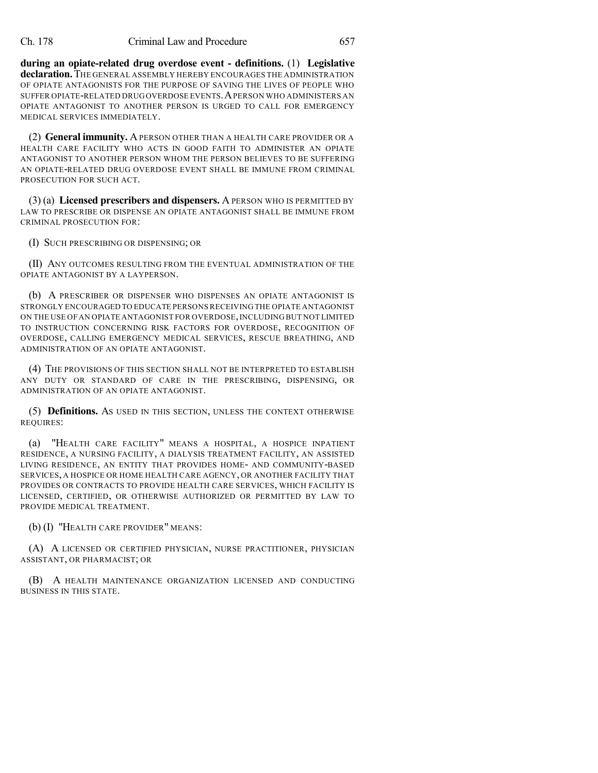**during an opiate-related drug overdose event - definitions.** (1) **Legislative declaration.**THE GENERAL ASSEMBLY HEREBY ENCOURAGES THE ADMINISTRATION OF OPIATE ANTAGONISTS FOR THE PURPOSE OF SAVING THE LIVES OF PEOPLE WHO SUFFER OPIATE-RELATED DRUGOVERDOSE EVENTS.APERSON WHO ADMINISTERS AN OPIATE ANTAGONIST TO ANOTHER PERSON IS URGED TO CALL FOR EMERGENCY MEDICAL SERVICES IMMEDIATELY.

(2) **General immunity.** APERSON OTHER THAN A HEALTH CARE PROVIDER OR A HEALTH CARE FACILITY WHO ACTS IN GOOD FAITH TO ADMINISTER AN OPIATE ANTAGONIST TO ANOTHER PERSON WHOM THE PERSON BELIEVES TO BE SUFFERING AN OPIATE-RELATED DRUG OVERDOSE EVENT SHALL BE IMMUNE FROM CRIMINAL PROSECUTION FOR SUCH ACT.

(3) (a) **Licensed prescribers and dispensers.** A PERSON WHO IS PERMITTED BY LAW TO PRESCRIBE OR DISPENSE AN OPIATE ANTAGONIST SHALL BE IMMUNE FROM CRIMINAL PROSECUTION FOR:

(I) SUCH PRESCRIBING OR DISPENSING; OR

(II) ANY OUTCOMES RESULTING FROM THE EVENTUAL ADMINISTRATION OF THE OPIATE ANTAGONIST BY A LAYPERSON.

(b) A PRESCRIBER OR DISPENSER WHO DISPENSES AN OPIATE ANTAGONIST IS STRONGLY ENCOURAGED TO EDUCATE PERSONS RECEIVING THE OPIATE ANTAGONIST ON THE USE OF AN OPIATE ANTAGONIST FOR OVERDOSE,INCLUDING BUT NOT LIMITED TO INSTRUCTION CONCERNING RISK FACTORS FOR OVERDOSE, RECOGNITION OF OVERDOSE, CALLING EMERGENCY MEDICAL SERVICES, RESCUE BREATHING, AND ADMINISTRATION OF AN OPIATE ANTAGONIST.

(4) THE PROVISIONS OF THIS SECTION SHALL NOT BE INTERPRETED TO ESTABLISH ANY DUTY OR STANDARD OF CARE IN THE PRESCRIBING, DISPENSING, OR ADMINISTRATION OF AN OPIATE ANTAGONIST.

(5) **Definitions.** AS USED IN THIS SECTION, UNLESS THE CONTEXT OTHERWISE REQUIRES:

(a) "HEALTH CARE FACILITY" MEANS A HOSPITAL, A HOSPICE INPATIENT RESIDENCE, A NURSING FACILITY, A DIALYSIS TREATMENT FACILITY, AN ASSISTED LIVING RESIDENCE, AN ENTITY THAT PROVIDES HOME- AND COMMUNITY-BASED SERVICES, A HOSPICE OR HOME HEALTH CARE AGENCY, OR ANOTHER FACILITY THAT PROVIDES OR CONTRACTS TO PROVIDE HEALTH CARE SERVICES, WHICH FACILITY IS LICENSED, CERTIFIED, OR OTHERWISE AUTHORIZED OR PERMITTED BY LAW TO PROVIDE MEDICAL TREATMENT.

(b) (I) "HEALTH CARE PROVIDER" MEANS:

(A) A LICENSED OR CERTIFIED PHYSICIAN, NURSE PRACTITIONER, PHYSICIAN ASSISTANT, OR PHARMACIST; OR

(B) A HEALTH MAINTENANCE ORGANIZATION LICENSED AND CONDUCTING BUSINESS IN THIS STATE.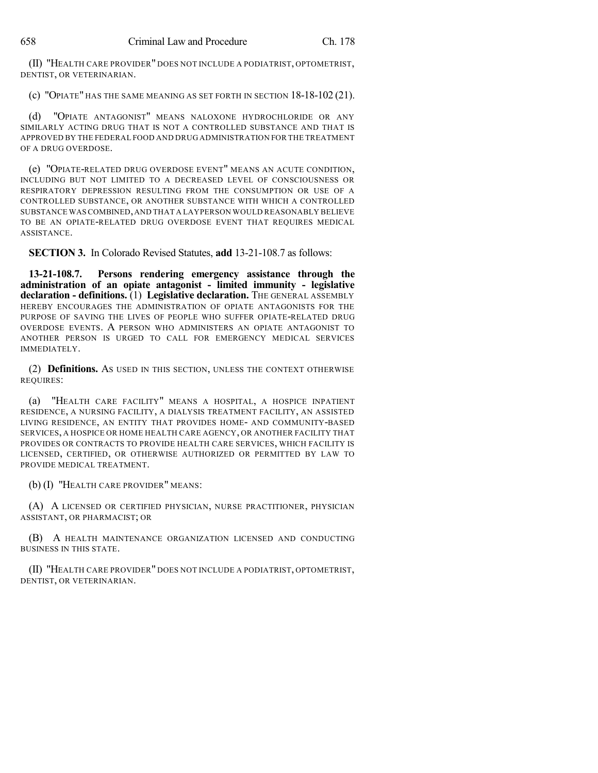(II) "HEALTH CARE PROVIDER" DOES NOT INCLUDE A PODIATRIST, OPTOMETRIST, DENTIST, OR VETERINARIAN.

(c) "OPIATE" HAS THE SAME MEANING AS SET FORTH IN SECTION 18-18-102 (21).

(d) "OPIATE ANTAGONIST" MEANS NALOXONE HYDROCHLORIDE OR ANY SIMILARLY ACTING DRUG THAT IS NOT A CONTROLLED SUBSTANCE AND THAT IS APPROVED BY THE FEDERAL FOOD AND DRUG ADMINISTRATION FOR THE TREATMENT OF A DRUG OVERDOSE.

(e) "OPIATE-RELATED DRUG OVERDOSE EVENT" MEANS AN ACUTE CONDITION, INCLUDING BUT NOT LIMITED TO A DECREASED LEVEL OF CONSCIOUSNESS OR RESPIRATORY DEPRESSION RESULTING FROM THE CONSUMPTION OR USE OF A CONTROLLED SUBSTANCE, OR ANOTHER SUBSTANCE WITH WHICH A CONTROLLED SUBSTANCE WASCOMBINED,AND THAT A LAYPERSON WOULD REASONABLY BELIEVE TO BE AN OPIATE-RELATED DRUG OVERDOSE EVENT THAT REQUIRES MEDICAL ASSISTANCE.

**SECTION 3.** In Colorado Revised Statutes, **add** 13-21-108.7 as follows:

**13-21-108.7. Persons rendering emergency assistance through the administration of an opiate antagonist - limited immunity - legislative declaration - definitions.** (1) **Legislative declaration.** THE GENERAL ASSEMBLY HEREBY ENCOURAGES THE ADMINISTRATION OF OPIATE ANTAGONISTS FOR THE PURPOSE OF SAVING THE LIVES OF PEOPLE WHO SUFFER OPIATE-RELATED DRUG OVERDOSE EVENTS. A PERSON WHO ADMINISTERS AN OPIATE ANTAGONIST TO ANOTHER PERSON IS URGED TO CALL FOR EMERGENCY MEDICAL SERVICES IMMEDIATELY.

(2) **Definitions.** AS USED IN THIS SECTION, UNLESS THE CONTEXT OTHERWISE REQUIRES:

(a) "HEALTH CARE FACILITY" MEANS A HOSPITAL, A HOSPICE INPATIENT RESIDENCE, A NURSING FACILITY, A DIALYSIS TREATMENT FACILITY, AN ASSISTED LIVING RESIDENCE, AN ENTITY THAT PROVIDES HOME- AND COMMUNITY-BASED SERVICES, A HOSPICE OR HOME HEALTH CARE AGENCY, OR ANOTHER FACILITY THAT PROVIDES OR CONTRACTS TO PROVIDE HEALTH CARE SERVICES, WHICH FACILITY IS LICENSED, CERTIFIED, OR OTHERWISE AUTHORIZED OR PERMITTED BY LAW TO PROVIDE MEDICAL TREATMENT.

(b) (I) "HEALTH CARE PROVIDER" MEANS:

(A) A LICENSED OR CERTIFIED PHYSICIAN, NURSE PRACTITIONER, PHYSICIAN ASSISTANT, OR PHARMACIST; OR

(B) A HEALTH MAINTENANCE ORGANIZATION LICENSED AND CONDUCTING BUSINESS IN THIS STATE.

(II) "HEALTH CARE PROVIDER" DOES NOT INCLUDE A PODIATRIST, OPTOMETRIST, DENTIST, OR VETERINARIAN.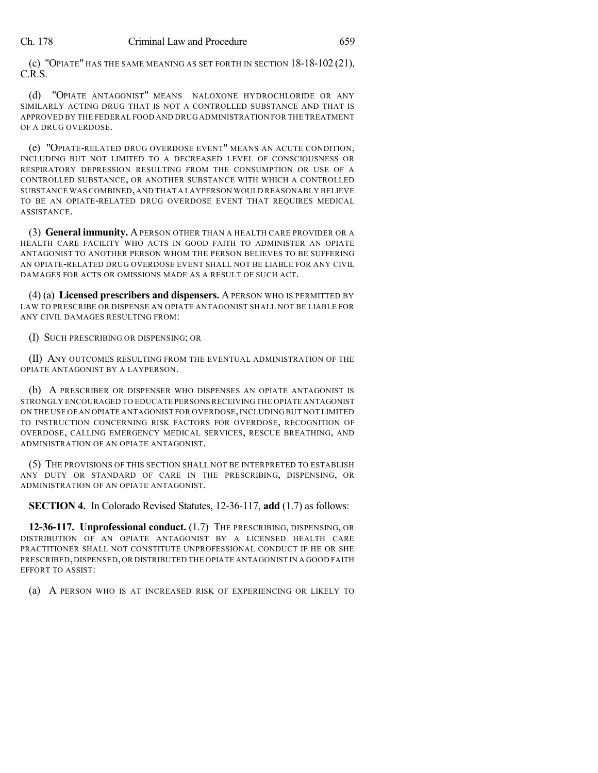(c) "OPIATE" HAS THE SAME MEANING AS SET FORTH IN SECTION 18-18-102 (21), C.R.S.

(d) "OPIATE ANTAGONIST" MEANS NALOXONE HYDROCHLORIDE OR ANY SIMILARLY ACTING DRUG THAT IS NOT A CONTROLLED SUBSTANCE AND THAT IS APPROVED BY THE FEDERAL FOOD AND DRUG ADMINISTRATION FOR THE TREATMENT OF A DRUG OVERDOSE.

(e) "OPIATE-RELATED DRUG OVERDOSE EVENT" MEANS AN ACUTE CONDITION, INCLUDING BUT NOT LIMITED TO A DECREASED LEVEL OF CONSCIOUSNESS OR RESPIRATORY DEPRESSION RESULTING FROM THE CONSUMPTION OR USE OF A CONTROLLED SUBSTANCE, OR ANOTHER SUBSTANCE WITH WHICH A CONTROLLED SUBSTANCE WAS COMBINED,AND THAT A LAYPERSON WOULD REASONABLY BELIEVE TO BE AN OPIATE-RELATED DRUG OVERDOSE EVENT THAT REQUIRES MEDICAL ASSISTANCE.

(3) **General immunity.** APERSON OTHER THAN A HEALTH CARE PROVIDER OR A HEALTH CARE FACILITY WHO ACTS IN GOOD FAITH TO ADMINISTER AN OPIATE ANTAGONIST TO ANOTHER PERSON WHOM THE PERSON BELIEVES TO BE SUFFERING AN OPIATE-RELATED DRUG OVERDOSE EVENT SHALL NOT BE LIABLE FOR ANY CIVIL DAMAGES FOR ACTS OR OMISSIONS MADE AS A RESULT OF SUCH ACT.

(4) (a) **Licensed prescribers and dispensers.** A PERSON WHO IS PERMITTED BY LAW TO PRESCRIBE OR DISPENSE AN OPIATE ANTAGONIST SHALL NOT BE LIABLE FOR ANY CIVIL DAMAGES RESULTING FROM:

(I) SUCH PRESCRIBING OR DISPENSING; OR

(II) ANY OUTCOMES RESULTING FROM THE EVENTUAL ADMINISTRATION OF THE OPIATE ANTAGONIST BY A LAYPERSON.

(b) A PRESCRIBER OR DISPENSER WHO DISPENSES AN OPIATE ANTAGONIST IS STRONGLY ENCOURAGED TO EDUCATE PERSONS RECEIVING THE OPIATE ANTAGONIST ON THE USE OF AN OPIATE ANTAGONIST FOR OVERDOSE,INCLUDING BUT NOT LIMITED TO INSTRUCTION CONCERNING RISK FACTORS FOR OVERDOSE, RECOGNITION OF OVERDOSE, CALLING EMERGENCY MEDICAL SERVICES, RESCUE BREATHING, AND ADMINISTRATION OF AN OPIATE ANTAGONIST.

(5) THE PROVISIONS OF THIS SECTION SHALL NOT BE INTERPRETED TO ESTABLISH ANY DUTY OR STANDARD OF CARE IN THE PRESCRIBING, DISPENSING, OR ADMINISTRATION OF AN OPIATE ANTAGONIST.

**SECTION 4.** In Colorado Revised Statutes, 12-36-117, **add** (1.7) as follows:

**12-36-117. Unprofessional conduct.** (1.7) THE PRESCRIBING, DISPENSING, OR DISTRIBUTION OF AN OPIATE ANTAGONIST BY A LICENSED HEALTH CARE PRACTITIONER SHALL NOT CONSTITUTE UNPROFESSIONAL CONDUCT IF HE OR SHE PRESCRIBED,DISPENSED,OR DISTRIBUTED THE OPIATE ANTAGONIST IN A GOOD FAITH EFFORT TO ASSIST:

(a) A PERSON WHO IS AT INCREASED RISK OF EXPERIENCING OR LIKELY TO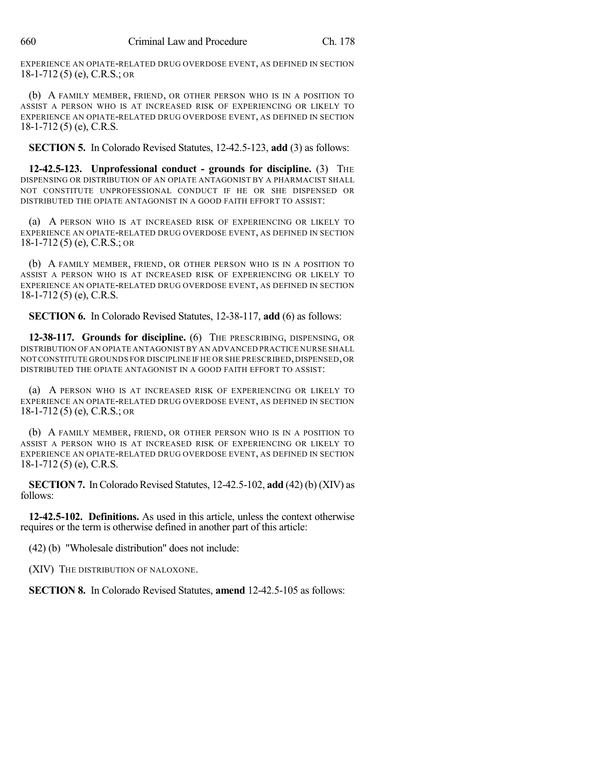EXPERIENCE AN OPIATE-RELATED DRUG OVERDOSE EVENT, AS DEFINED IN SECTION 18-1-712 (5) (e), C.R.S.; OR

(b) A FAMILY MEMBER, FRIEND, OR OTHER PERSON WHO IS IN A POSITION TO ASSIST A PERSON WHO IS AT INCREASED RISK OF EXPERIENCING OR LIKELY TO EXPERIENCE AN OPIATE-RELATED DRUG OVERDOSE EVENT, AS DEFINED IN SECTION 18-1-712 (5) (e), C.R.S.

**SECTION 5.** In Colorado Revised Statutes, 12-42.5-123, **add** (3) as follows:

**12-42.5-123. Unprofessional conduct - grounds for discipline.** (3) THE DISPENSING OR DISTRIBUTION OF AN OPIATE ANTAGONIST BY A PHARMACIST SHALL NOT CONSTITUTE UNPROFESSIONAL CONDUCT IF HE OR SHE DISPENSED OR DISTRIBUTED THE OPIATE ANTAGONIST IN A GOOD FAITH EFFORT TO ASSIST:

(a) A PERSON WHO IS AT INCREASED RISK OF EXPERIENCING OR LIKELY TO EXPERIENCE AN OPIATE-RELATED DRUG OVERDOSE EVENT, AS DEFINED IN SECTION 18-1-712 (5) (e), C.R.S.; OR

(b) A FAMILY MEMBER, FRIEND, OR OTHER PERSON WHO IS IN A POSITION TO ASSIST A PERSON WHO IS AT INCREASED RISK OF EXPERIENCING OR LIKELY TO EXPERIENCE AN OPIATE-RELATED DRUG OVERDOSE EVENT, AS DEFINED IN SECTION 18-1-712 (5) (e), C.R.S.

**SECTION 6.** In Colorado Revised Statutes, 12-38-117, **add** (6) as follows:

**12-38-117. Grounds for discipline.** (6) THE PRESCRIBING, DISPENSING, OR DISTRIBUTION OF AN OPIATE ANTAGONIST BY AN ADVANCED PRACTICE NURSE SHALL NOT CONSTITUTE GROUNDS FOR DISCIPLINE IF HE OR SHE PRESCRIBED,DISPENSED,OR DISTRIBUTED THE OPIATE ANTAGONIST IN A GOOD FAITH EFFORT TO ASSIST:

(a) A PERSON WHO IS AT INCREASED RISK OF EXPERIENCING OR LIKELY TO EXPERIENCE AN OPIATE-RELATED DRUG OVERDOSE EVENT, AS DEFINED IN SECTION 18-1-712 (5) (e), C.R.S.; OR

(b) A FAMILY MEMBER, FRIEND, OR OTHER PERSON WHO IS IN A POSITION TO ASSIST A PERSON WHO IS AT INCREASED RISK OF EXPERIENCING OR LIKELY TO EXPERIENCE AN OPIATE-RELATED DRUG OVERDOSE EVENT, AS DEFINED IN SECTION 18-1-712 (5) (e), C.R.S.

**SECTION 7.** In Colorado Revised Statutes,  $12-42.5-102$ , **add**  $(42)$  (b) (XIV) as follows:

**12-42.5-102. Definitions.** As used in this article, unless the context otherwise requires or the term is otherwise defined in another part of this article:

(42) (b) "Wholesale distribution" does not include:

(XIV) THE DISTRIBUTION OF NALOXONE.

**SECTION 8.** In Colorado Revised Statutes, **amend** 12-42.5-105 as follows: